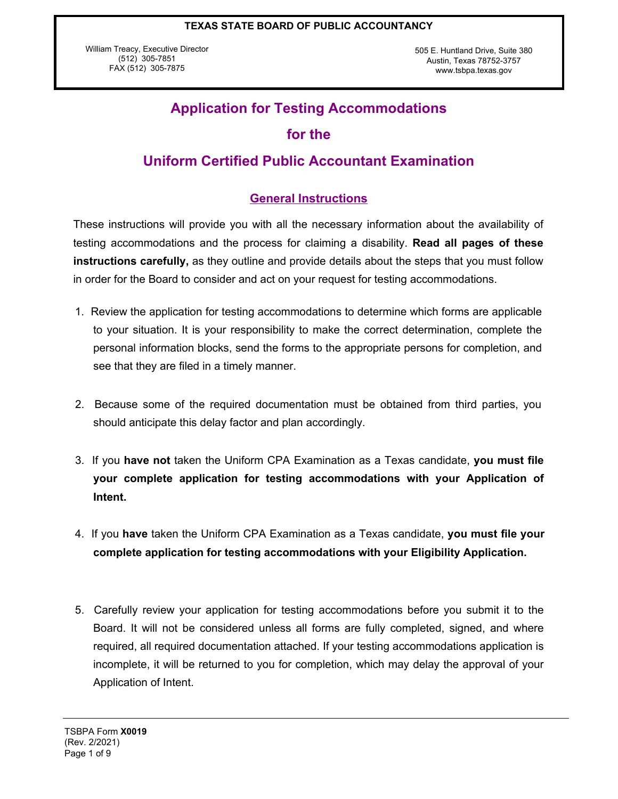William Treacy, Executive Director (512) 305-7851 FAX (512) 305-7875

505 E. Huntland Drive, Suite 380 Austin, Texas 78752-3757 www.tsbpa.texas.gov

# **Application for Testing Accommodations**

## **for the**

## **Uniform Certified Public Accountant Examination**

## **General Instructions**

These instructions will provide you with all the necessary information about the availability of testing accommodations and the process for claiming a disability. **Read all pages of these instructions carefully,** as they outline and provide details about the steps that you must follow in order for the Board to consider and act on your request for testing accommodations.

- 1. Review the application for testing accommodations to determine which forms are applicable to your situation. It is your responsibility to make the correct determination, complete the personal information blocks, send the forms to the appropriate persons for completion, and see that they are filed in a timely manner.
- 2. Because some of the required documentation must be obtained from third parties, you should anticipate this delay factor and plan accordingly.
- 3. If you **have not** taken the Uniform CPA Examination as a Texas candidate, **you must file your complete application for testing accommodations with your Application of Intent.**
- 4. If you **have** taken the Uniform CPA Examination as a Texas candidate, **you must file your complete application for testing accommodations with your Eligibility Application.**
- 5. Carefully review your application for testing accommodations before you submit it to the Board. It will not be considered unless all forms are fully completed, signed, and where required, all required documentation attached. If your testing accommodations application is incomplete, it will be returned to you for completion, which may delay the approval of your Application of Intent.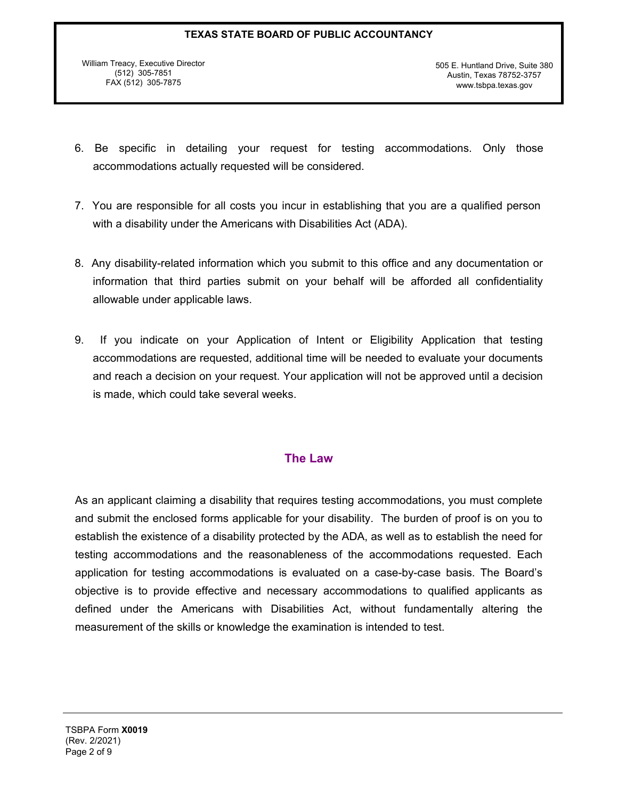William Treacy, Executive Director (512) 305-7851 FAX (512) 305-7875

505 E. Huntland Drive, Suite 380 Austin, Texas 78752-3757 www.tsbpa.texas.gov

- 6. Be specific in detailing your request for testing accommodations. Only those accommodations actually requested will be considered.
- 7. You are responsible for all costs you incur in establishing that you are a qualified person with a disability under the Americans with Disabilities Act (ADA).
- 8. Any disability-related information which you submit to this office and any documentation or information that third parties submit on your behalf will be afforded all confidentiality allowable under applicable laws.
- 9. If you indicate on your Application of Intent or Eligibility Application that testing accommodations are requested, additional time will be needed to evaluate your documents and reach a decision on your request. Your application will not be approved until a decision is made, which could take several weeks.

## **The Law**

As an applicant claiming a disability that requires testing accommodations, you must complete and submit the enclosed forms applicable for your disability. The burden of proof is on you to establish the existence of a disability protected by the ADA, as well as to establish the need for testing accommodations and the reasonableness of the accommodations requested. Each application for testing accommodations is evaluated on a case-by-case basis. The Board's objective is to provide effective and necessary accommodations to qualified applicants as defined under the Americans with Disabilities Act, without fundamentally altering the measurement of the skills or knowledge the examination is intended to test.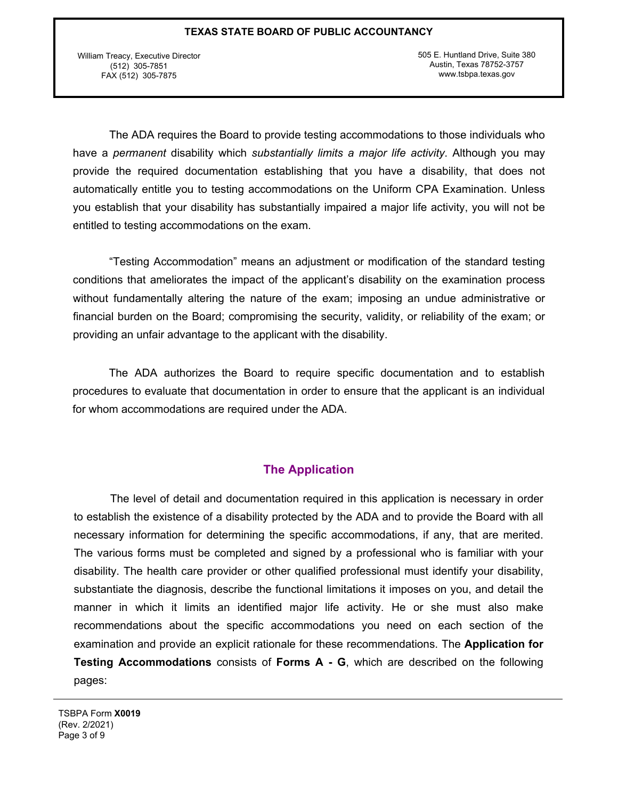William Treacy, Executive Director (512) 305-7851 FAX (512) 305-7875

505 E. Huntland Drive, Suite 380 Austin, Texas 78752-3757 www.tsbpa.texas.gov

The ADA requires the Board to provide testing accommodations to those individuals who have a *permanent* disability which *substantially limits a major life activity*. Although you may provide the required documentation establishing that you have a disability, that does not automatically entitle you to testing accommodations on the Uniform CPA Examination. Unless you establish that your disability has substantially impaired a major life activity, you will not be entitled to testing accommodations on the exam.

"Testing Accommodation" means an adjustment or modification of the standard testing conditions that ameliorates the impact of the applicant's disability on the examination process without fundamentally altering the nature of the exam; imposing an undue administrative or financial burden on the Board; compromising the security, validity, or reliability of the exam; or providing an unfair advantage to the applicant with the disability.

The ADA authorizes the Board to require specific documentation and to establish procedures to evaluate that documentation in order to ensure that the applicant is an individual for whom accommodations are required under the ADA.

### **The Application**

The level of detail and documentation required in this application is necessary in order to establish the existence of a disability protected by the ADA and to provide the Board with all necessary information for determining the specific accommodations, if any, that are merited. The various forms must be completed and signed by a professional who is familiar with your disability. The health care provider or other qualified professional must identify your disability, substantiate the diagnosis, describe the functional limitations it imposes on you, and detail the manner in which it limits an identified major life activity. He or she must also make recommendations about the specific accommodations you need on each section of the examination and provide an explicit rationale for these recommendations. The **Application for Testing Accommodations** consists of **Forms A - G**, which are described on the following pages:

TSBPA Form **X0019** (Rev. 2/2021) Page 3 of 9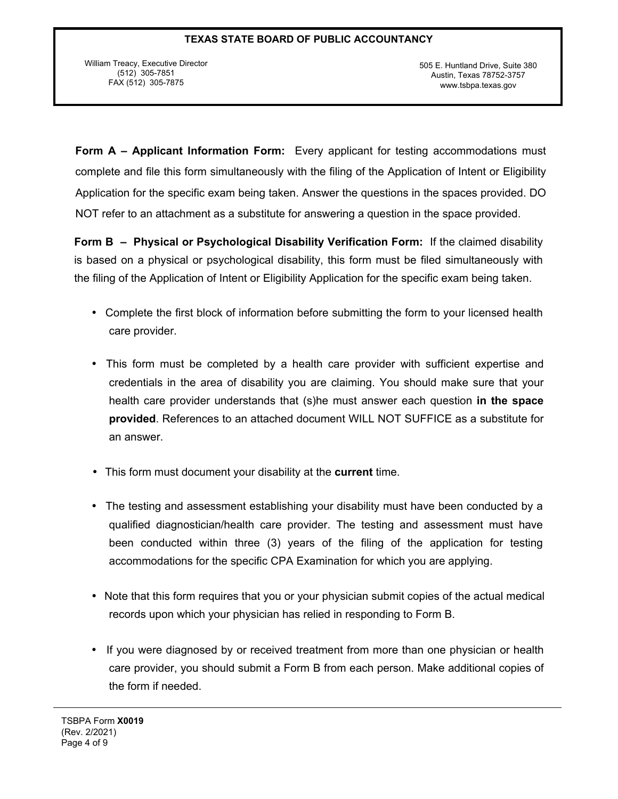William Treacy, Executive Director (512) 305-7851 FAX (512) 305-7875

505 E. Huntland Drive, Suite 380 Austin, Texas 78752-3757 www.tsbpa.texas.gov

**Form A – Applicant Information Form:** Every applicant for testing accommodations must complete and file this form simultaneously with the filing of the Application of Intent or Eligibility Application for the specific exam being taken. Answer the questions in the spaces provided. DO NOT refer to an attachment as a substitute for answering a question in the space provided.

**Form B – Physical or Psychological Disability Verification Form:** If the claimed disability is based on a physical or psychological disability, this form must be filed simultaneously with the filing of the Application of Intent or Eligibility Application for the specific exam being taken.

- Complete the first block of information before submitting the form to your licensed health care provider.
- This form must be completed by a health care provider with sufficient expertise and credentials in the area of disability you are claiming. You should make sure that your health care provider understands that (s)he must answer each question **in the space provided**. References to an attached document WILL NOT SUFFICE as a substitute for an answer.
- This form must document your disability at the **current** time.
- The testing and assessment establishing your disability must have been conducted by a qualified diagnostician/health care provider. The testing and assessment must have been conducted within three (3) years of the filing of the application for testing accommodations for the specific CPA Examination for which you are applying.
- Note that this form requires that you or your physician submit copies of the actual medical records upon which your physician has relied in responding to Form B.
- If you were diagnosed by or received treatment from more than one physician or health care provider, you should submit a Form B from each person. Make additional copies of the form if needed.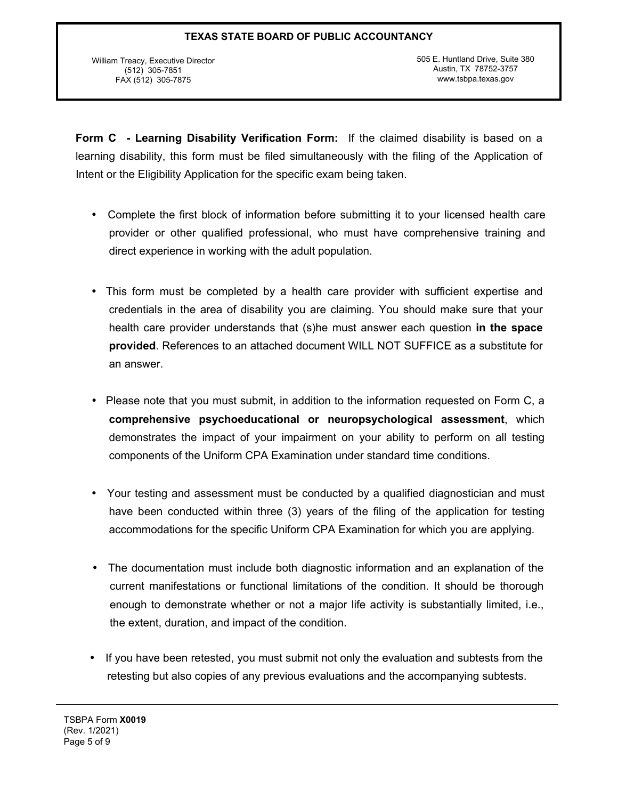William Treacy, Executive Director (512) 305-7851 FAX (512) 305-7875

505 E. Huntland Drive, Suite 380 Austin, TX 78752-3757 www.tsbpa.texas.gov

**Form C - Learning Disability Verification Form:** If the claimed disability is based on a learning disability, this form must be filed simultaneously with the filing of the Application of Intent or the Eligibility Application for the specific exam being taken.

- Complete the first block of information before submitting it to your licensed health care provider or other qualified professional, who must have comprehensive training and direct experience in working with the adult population.
- This form must be completed by a health care provider with sufficient expertise and credentials in the area of disability you are claiming. You should make sure that your health care provider understands that (s)he must answer each question **in the space provided**. References to an attached document WILL NOT SUFFICE as a substitute for an answer.
- Please note that you must submit, in addition to the information requested on Form C, a **comprehensive psychoeducational or neuropsychological assessment**, which demonstrates the impact of your impairment on your ability to perform on all testing components of the Uniform CPA Examination under standard time conditions.
- Your testing and assessment must be conducted by a qualified diagnostician and must have been conducted within three (3) years of the filing of the application for testing accommodations for the specific Uniform CPA Examination for which you are applying.
- The documentation must include both diagnostic information and an explanation of the current manifestations or functional limitations of the condition. It should be thorough enough to demonstrate whether or not a major life activity is substantially limited, i.e., the extent, duration, and impact of the condition.
- If you have been retested, you must submit not only the evaluation and subtests from the retesting but also copies of any previous evaluations and the accompanying subtests.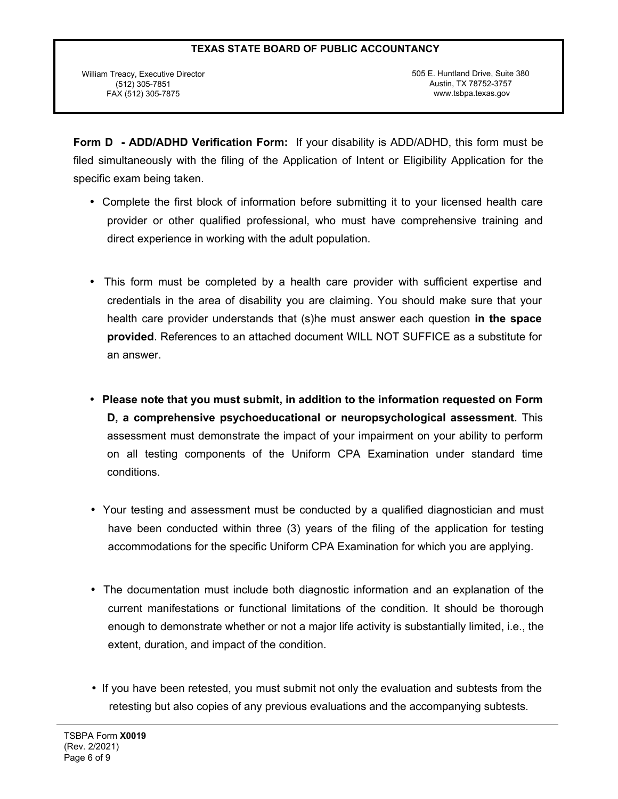William Treacy, Executive Director (512) 305-7851 FAX (512) 305-7875

505 E. Huntland Drive, Suite 380 Austin, TX 78752-3757 www.tsbpa.texas.gov

**Form D - ADD/ADHD Verification Form:** If your disability is ADD/ADHD, this form must be filed simultaneously with the filing of the Application of Intent or Eligibility Application for the specific exam being taken.

- Complete the first block of information before submitting it to your licensed health care provider or other qualified professional, who must have comprehensive training and direct experience in working with the adult population.
- This form must be completed by a health care provider with sufficient expertise and credentials in the area of disability you are claiming. You should make sure that your health care provider understands that (s)he must answer each question **in the space provided**. References to an attached document WILL NOT SUFFICE as a substitute for an answer.
- **Please note that you must submit, in addition to the information requested on Form D, a comprehensive psychoeducational or neuropsychological assessment.** This assessment must demonstrate the impact of your impairment on your ability to perform on all testing components of the Uniform CPA Examination under standard time conditions.
- Your testing and assessment must be conducted by a qualified diagnostician and must have been conducted within three (3) years of the filing of the application for testing accommodations for the specific Uniform CPA Examination for which you are applying.
- The documentation must include both diagnostic information and an explanation of the current manifestations or functional limitations of the condition. It should be thorough enough to demonstrate whether or not a major life activity is substantially limited, i.e., the extent, duration, and impact of the condition.
- If you have been retested, you must submit not only the evaluation and subtests from the retesting but also copies of any previous evaluations and the accompanying subtests.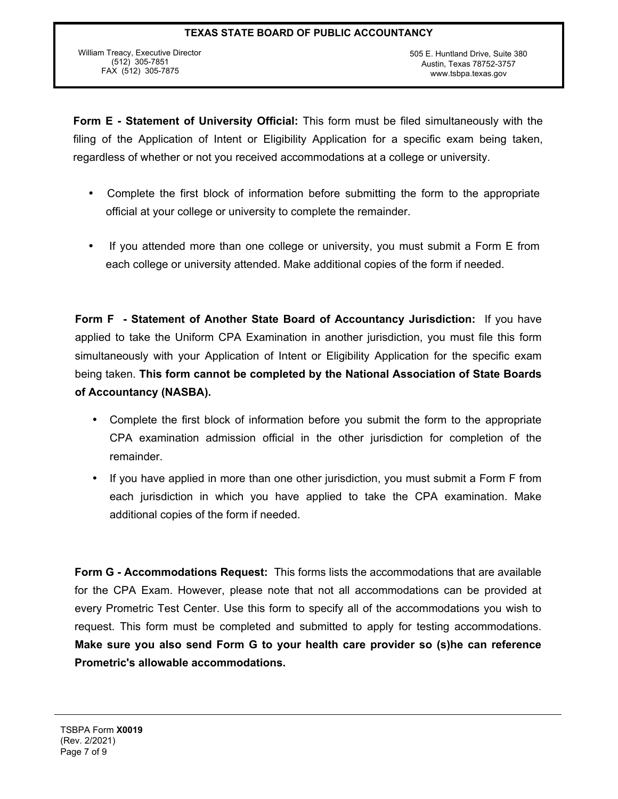William Treacy, Executive Director (512) 305-7851 FAX (512) 305-7875

**Form E - Statement of University Official:** This form must be filed simultaneously with the filing of the Application of Intent or Eligibility Application for a specific exam being taken, regardless of whether or not you received accommodations at a college or university.

- Complete the first block of information before submitting the form to the appropriate official at your college or university to complete the remainder.
- If you attended more than one college or university, you must submit a Form E from each college or university attended. Make additional copies of the form if needed.

**Form F - Statement of Another State Board of Accountancy Jurisdiction:** If you have applied to take the Uniform CPA Examination in another jurisdiction, you must file this form simultaneously with your Application of Intent or Eligibility Application for the specific exam being taken. **This form cannot be completed by the National Association of State Boards of Accountancy (NASBA).**

- Complete the first block of information before you submit the form to the appropriate CPA examination admission official in the other jurisdiction for completion of the remainder.
- If you have applied in more than one other jurisdiction, you must submit a Form F from each jurisdiction in which you have applied to take the CPA examination. Make additional copies of the form if needed.

**Form G - Accommodations Request:** This forms lists the accommodations that are available for the CPA Exam. However, please note that not all accommodations can be provided at every Prometric Test Center. Use this form to specify all of the accommodations you wish to request. This form must be completed and submitted to apply for testing accommodations. **Make sure you also send Form G to your health care provider so (s)he can reference Prometric's allowable accommodations.**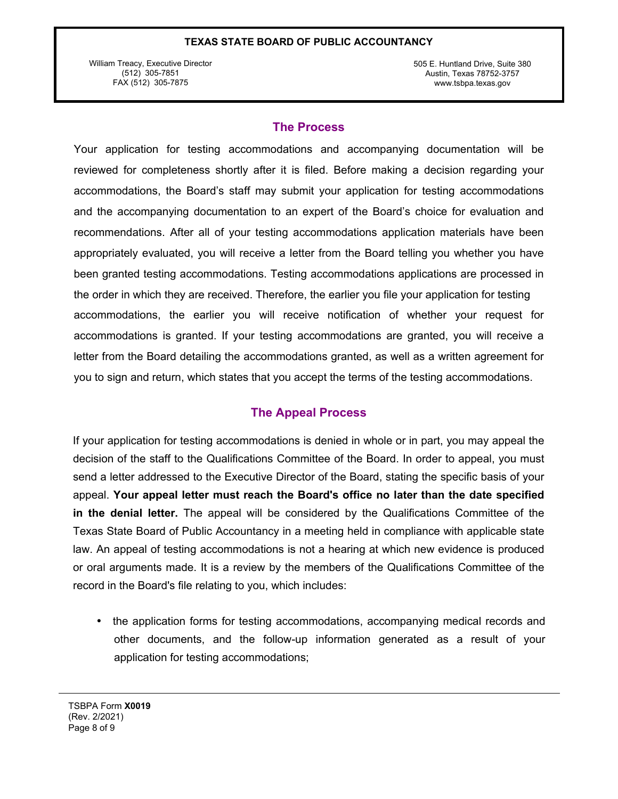William Treacy, Executive Director (512) 305-7851 FAX (512) 305-7875

505 E. Huntland Drive, Suite 380 Austin, Texas 78752-3757 www.tsbpa.texas.gov

### **The Process**

accommodations, the earlier you will receive notification of whether your request for accommodations is granted. If your testing accommodations are granted, you will receive a letter from the Board detailing the accommodations granted, as well as a written agreement for you to sign and return, which states that you accept the terms of the testing accommodations. Your application for testing accommodations and accompanying documentation will be reviewed for completeness shortly after it is filed. Before making a decision regarding your accommodations, the Board's staff may submit your application for testing accommodations and the accompanying documentation to an expert of the Board's choice for evaluation and recommendations. After all of your testing accommodations application materials have been appropriately evaluated, you will receive a letter from the Board telling you whether you have been granted testing accommodations. Testing accommodations applications are processed in the order in which they are received. Therefore, the earlier you file your application for testing

## **The Appeal Process**

If your application for testing accommodations is denied in whole or in part, you may appeal the decision of the staff to the Qualifications Committee of the Board. In order to appeal, you must send a letter addressed to the Executive Director of the Board, stating the specific basis of your appeal. **Your appeal letter must reach the Board's office no later than the date specified in the denial letter.** The appeal will be considered by the Qualifications Committee of the Texas State Board of Public Accountancy in a meeting held in compliance with applicable state law. An appeal of testing accommodations is not a hearing at which new evidence is produced or oral arguments made. It is a review by the members of the Qualifications Committee of the record in the Board's file relating to you, which includes:

• the application forms for testing accommodations, accompanying medical records and other documents, and the follow-up information generated as a result of your application for testing accommodations;